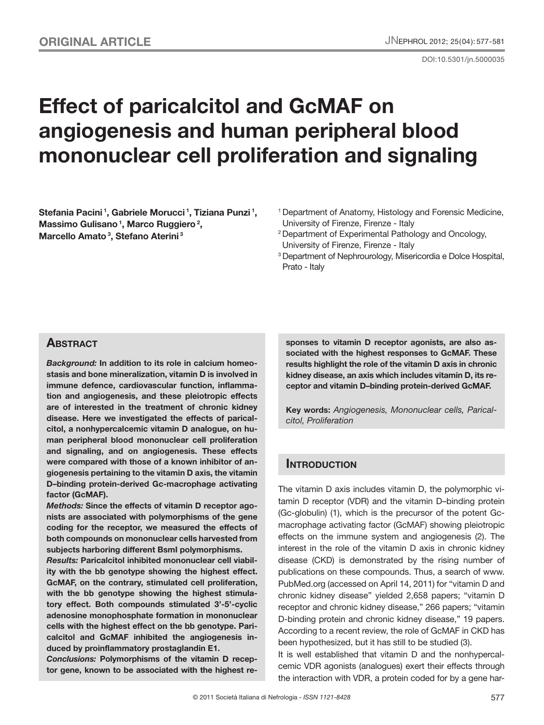DOI:10.5301/jn.5000035

# **Effect of paricalcitol and GcMAF on angiogenesis and human peripheral blood mononuclear cell proliferation and signaling**

**Stefania Pacini 1, Gabriele Morucci 1, Tiziana Punzi 1, Massimo Gulisano 1, Marco Ruggiero 2, Marcello Amato 3, Stefano Aterini 3**

- <sup>1</sup> Department of Anatomy, Histology and Forensic Medicine, University of Firenze, Firenze - Italy
- 2 Department of Experimental Pathology and Oncology, University of Firenze, Firenze - Italy
- <sup>3</sup> Department of Nephrourology, Misericordia e Dolce Hospital, Prato - Italy

## **ABSTRACT**

*Background:* **In addition to its role in calcium homeostasis and bone mineralization, vitamin D is involved in immune defence, cardiovascular function, inflammation and angiogenesis, and these pleiotropic effects are of interested in the treatment of chronic kidney disease. Here we investigated the effects of paricalcitol, a nonhypercalcemic vitamin D analogue, on human peripheral blood mononuclear cell proliferation and signaling, and on angiogenesis. These effects were compared with those of a known inhibitor of angiogenesis pertaining to the vitamin D axis, the vitamin D–binding protein-derived Gc-macrophage activating factor (GcMAF).**

*Methods:* **Since the effects of vitamin D receptor agonists are associated with polymorphisms of the gene coding for the receptor, we measured the effects of both compounds on mononuclear cells harvested from subjects harboring different BsmI polymorphisms.**

*Results:* **Paricalcitol inhibited mononuclear cell viability with the bb genotype showing the highest effect. GcMAF, on the contrary, stimulated cell proliferation, with the bb genotype showing the highest stimulatory effect. Both compounds stimulated 3'-5'-cyclic adenosine monophosphate formation in mononuclear cells with the highest effect on the bb genotype. Paricalcitol and GcMAF inhibited the angiogenesis induced by proinflammatory prostaglandin E1.** 

*Conclusions:* **Polymorphisms of the vitamin D receptor gene, known to be associated with the highest re-** **sponses to vitamin D receptor agonists, are also associated with the highest responses to GcMAF. These results highlight the role of the vitamin D axis in chronic kidney disease, an axis which includes vitamin D, its receptor and vitamin D–binding protein-derived GcMAF.**

**Key words:** *Angiogenesis, Mononuclear cells, Paricalcitol, Proliferation*

## **INTRODUCTION**

The vitamin D axis includes vitamin D, the polymorphic vitamin D receptor (VDR) and the vitamin D–binding protein (Gc-globulin) (1), which is the precursor of the potent Gcmacrophage activating factor (GcMAF) showing pleiotropic effects on the immune system and angiogenesis (2). The interest in the role of the vitamin D axis in chronic kidney disease (CKD) is demonstrated by the rising number of publications on these compounds. Thus, a search of www. PubMed.org (accessed on April 14, 2011) for "vitamin D and chronic kidney disease" yielded 2,658 papers; "vitamin D receptor and chronic kidney disease," 266 papers; "vitamin D-binding protein and chronic kidney disease," 19 papers. According to a recent review, the role of GcMAF in CKD has been hypothesized, but it has still to be studied (3).

It is well established that vitamin D and the nonhypercalcemic VDR agonists (analogues) exert their effects through the interaction with VDR, a protein coded for by a gene har-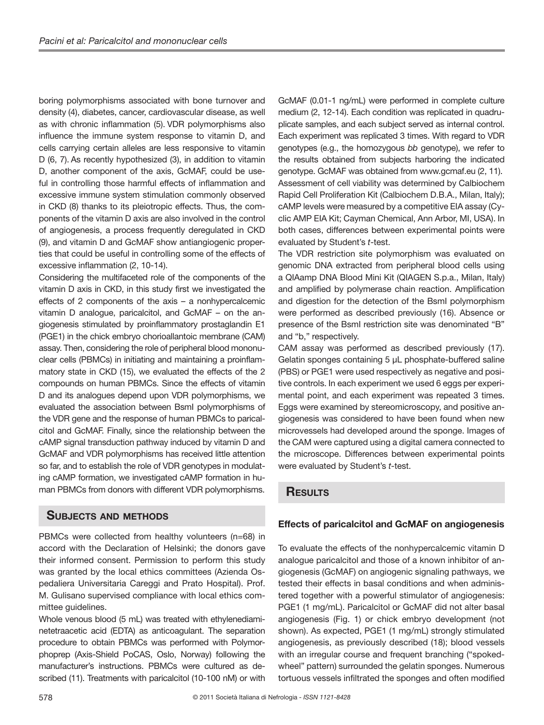boring polymorphisms associated with bone turnover and density (4), diabetes, cancer, cardiovascular disease, as well as with chronic inflammation (5). VDR polymorphisms also influence the immune system response to vitamin D, and cells carrying certain alleles are less responsive to vitamin D (6, 7). As recently hypothesized (3), in addition to vitamin D, another component of the axis, GcMAF, could be useful in controlling those harmful effects of inflammation and excessive immune system stimulation commonly observed in CKD (8) thanks to its pleiotropic effects. Thus, the components of the vitamin D axis are also involved in the control of angiogenesis, a process frequently deregulated in CKD (9), and vitamin D and GcMAF show antiangiogenic properties that could be useful in controlling some of the effects of excessive inflammation (2, 10-14).

Considering the multifaceted role of the components of the vitamin D axis in CKD, in this study first we investigated the effects of 2 components of the axis – a nonhypercalcemic vitamin D analogue, paricalcitol, and GcMAF – on the angiogenesis stimulated by proinflammatory prostaglandin E1 (PGE1) in the chick embryo chorioallantoic membrane (CAM) assay. Then, considering the role of peripheral blood mononuclear cells (PBMCs) in initiating and maintaining a proinflammatory state in CKD (15), we evaluated the effects of the 2 compounds on human PBMCs. Since the effects of vitamin D and its analogues depend upon VDR polymorphisms, we evaluated the association between BsmI polymorphisms of the VDR gene and the response of human PBMCs to paricalcitol and GcMAF. Finally, since the relationship between the cAMP signal transduction pathway induced by vitamin D and GcMAF and VDR polymorphisms has received little attention so far, and to establish the role of VDR genotypes in modulating cAMP formation, we investigated cAMP formation in human PBMCs from donors with different VDR polymorphisms.

## **Subjects and methods**

PBMCs were collected from healthy volunteers (n=68) in accord with the Declaration of Helsinki; the donors gave their informed consent. Permission to perform this study was granted by the local ethics committees (Azienda Ospedaliera Universitaria Careggi and Prato Hospital). Prof. M. Gulisano supervised compliance with local ethics committee guidelines.

Whole venous blood (5 mL) was treated with ethylenediaminetetraacetic acid (EDTA) as anticoagulant. The separation procedure to obtain PBMCs was performed with Polymorphoprep (Axis-Shield PoCAS, Oslo, Norway) following the manufacturer's instructions. PBMCs were cultured as described (11). Treatments with paricalcitol (10-100 nM) or with GcMAF (0.01-1 ng/mL) were performed in complete culture medium (2, 12-14). Each condition was replicated in quadruplicate samples, and each subject served as internal control. Each experiment was replicated 3 times. With regard to VDR genotypes (e.g., the homozygous *bb* genotype), we refer to the results obtained from subjects harboring the indicated genotype. GcMAF was obtained from www.gcmaf.eu (2, 11). Assessment of cell viability was determined by Calbiochem Rapid Cell Proliferation Kit (Calbiochem D.B.A., Milan, Italy); cAMP levels were measured by a competitive EIA assay (Cyclic AMP EIA Kit; Cayman Chemical, Ann Arbor, MI, USA). In both cases, differences between experimental points were evaluated by Student's *t*-test.

The VDR restriction site polymorphism was evaluated on genomic DNA extracted from peripheral blood cells using a QIAamp DNA Blood Mini Kit (QIAGEN S.p.a., Milan, Italy) and amplified by polymerase chain reaction. Amplification and digestion for the detection of the BsmI polymorphism were performed as described previously (16). Absence or presence of the BsmI restriction site was denominated "B" and "b," respectively.

CAM assay was performed as described previously (17). Gelatin sponges containing 5 μL phosphate-buffered saline (PBS) or PGE1 were used respectively as negative and positive controls. In each experiment we used 6 eggs per experimental point, and each experiment was repeated 3 times. Eggs were examined by stereomicroscopy, and positive angiogenesis was considered to have been found when new microvessels had developed around the sponge. Images of the CAM were captured using a digital camera connected to the microscope. Differences between experimental points were evaluated by Student's *t*-test.

## **Results**

#### **Effects of paricalcitol and GcMAF on angiogenesis**

To evaluate the effects of the nonhypercalcemic vitamin D analogue paricalcitol and those of a known inhibitor of angiogenesis (GcMAF) on angiogenic signaling pathways, we tested their effects in basal conditions and when administered together with a powerful stimulator of angiogenesis: PGE1 (1 mg/mL). Paricalcitol or GcMAF did not alter basal angiogenesis (Fig. 1) or chick embryo development (not shown). As expected, PGE1 (1 mg/mL) strongly stimulated angiogenesis, as previously described (18); blood vessels with an irregular course and frequent branching ("spokedwheel" pattern) surrounded the gelatin sponges. Numerous tortuous vessels infiltrated the sponges and often modified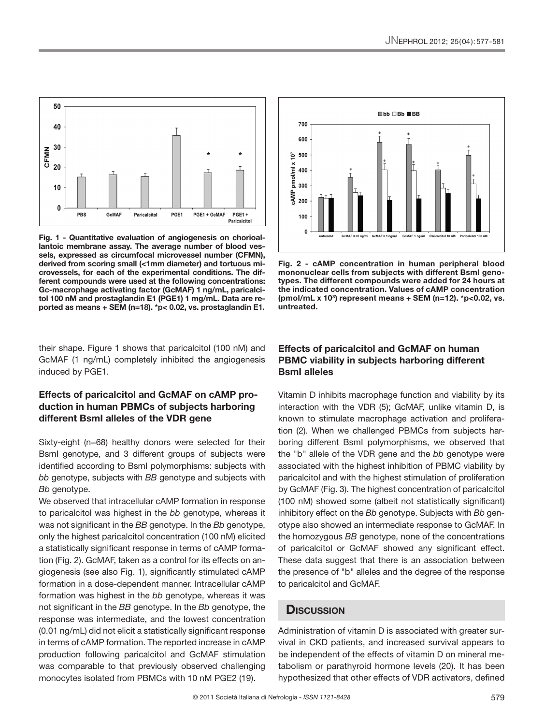

**Fig. 1 - Quantitative evaluation of angiogenesis on chorioallantoic membrane assay. The average number of blood vessels, expressed as circumfocal microvessel number (CFMN), derived from scoring small (<1mm diameter) and tortuous microvessels, for each of the experimental conditions. The different compounds were used at the following concentrations: Gc-macrophage activating factor (GcMAF) 1 ng/mL, paricalcitol 100 nM and prostaglandin E1 (PGE1) 1 mg/mL. Data are reported as means + SEM (n=18). \*p< 0.02, vs. prostaglandin E1.**

their shape. Figure 1 shows that paricalcitol (100 nM) and GcMAF (1 ng/mL) completely inhibited the angiogenesis induced by PGE1.

#### **Effects of paricalcitol and GcMAF on cAMP production in human PBMCs of subjects harboring different BsmI alleles of the VDR gene**

Sixty-eight (n=68) healthy donors were selected for their BsmI genotype, and 3 different groups of subjects were identified according to BsmI polymorphisms: subjects with *bb* genotype, subjects with *BB* genotype and subjects with *Bb* genotype.

We observed that intracellular cAMP formation in response to paricalcitol was highest in the *bb* genotype, whereas it was not significant in the *BB* genotype. In the *Bb* genotype, only the highest paricalcitol concentration (100 nM) elicited a statistically significant response in terms of cAMP formation (Fig. 2). GcMAF, taken as a control for its effects on angiogenesis (see also Fig. 1), significantly stimulated cAMP formation in a dose-dependent manner. Intracellular cAMP formation was highest in the *bb* genotype, whereas it was not significant in the *BB* genotype. In the *Bb* genotype, the response was intermediate, and the lowest concentration (0.01 ng/mL) did not elicit a statistically significant response in terms of cAMP formation. The reported increase in cAMP production following paricalcitol and GcMAF stimulation was comparable to that previously observed challenging monocytes isolated from PBMCs with 10 nM PGE2 (19).



**Fig. 2 - cAMP concentration in human peripheral blood mononuclear cells from subjects with different BsmI genotypes. The different compounds were added for 24 hours at the indicated concentration. Values of cAMP concentration (pmol/mL x 103) represent means + SEM (n=12). \*p<0.02, vs. untreated.** 

#### **Effects of paricalcitol and GcMAF on human PBMC viability in subjects harboring different BsmI alleles**

Vitamin D inhibits macrophage function and viability by its interaction with the VDR (5); GcMAF, unlike vitamin D, is known to stimulate macrophage activation and proliferation (2). When we challenged PBMCs from subjects harboring different BsmI polymorphisms, we observed that the "b*"* allele of the VDR gene and the *bb* genotype were associated with the highest inhibition of PBMC viability by paricalcitol and with the highest stimulation of proliferation by GcMAF (Fig. 3). The highest concentration of paricalcitol (100 nM) showed some (albeit not statistically significant) inhibitory effect on the *Bb* genotype. Subjects with *Bb* genotype also showed an intermediate response to GcMAF. In the homozygous *BB* genotype, none of the concentrations of paricalcitol or GcMAF showed any significant effect. These data suggest that there is an association between the presence of "b*"* alleles and the degree of the response to paricalcitol and GcMAF.

### **Discussion**

Administration of vitamin D is associated with greater survival in CKD patients, and increased survival appears to be independent of the effects of vitamin D on mineral metabolism or parathyroid hormone levels (20). It has been hypothesized that other effects of VDR activators, defined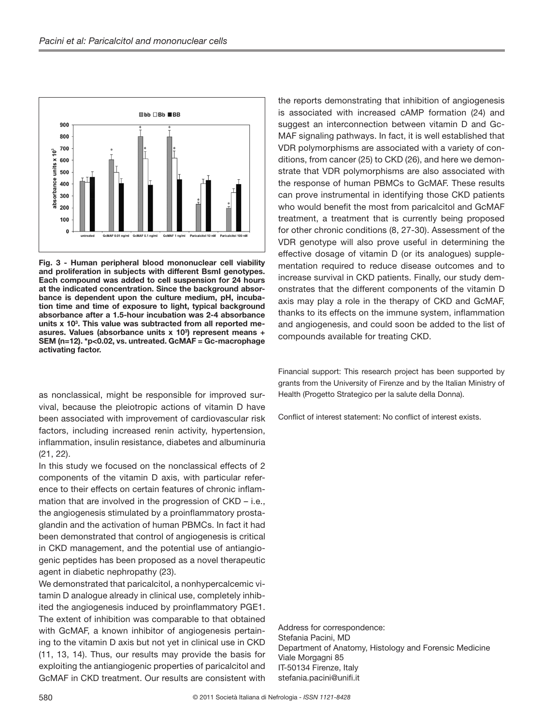

**Fig. 3 - Human peripheral blood mononuclear cell viability and proliferation in subjects with different BsmI genotypes. Each compound was added to cell suspension for 24 hours at the indicated concentration. Since the background absorbance is dependent upon the culture medium, pH, incubation time and time of exposure to light, typical background absorbance after a 1.5-hour incubation was 2-4 absorbance units x 103 . This value was subtracted from all reported me**asures. Values (absorbance units x 10<sup>3</sup>) represent means + **SEM (n=12). \*p<0.02, vs. untreated. GcMAF = Gc-macrophage activating factor.**

as nonclassical, might be responsible for improved survival, because the pleiotropic actions of vitamin D have been associated with improvement of cardiovascular risk factors, including increased renin activity, hypertension, inflammation, insulin resistance, diabetes and albuminuria (21, 22).

In this study we focused on the nonclassical effects of 2 components of the vitamin D axis, with particular reference to their effects on certain features of chronic inflammation that are involved in the progression of CKD – i.e., the angiogenesis stimulated by a proinflammatory prostaglandin and the activation of human PBMCs. In fact it had been demonstrated that control of angiogenesis is critical in CKD management, and the potential use of antiangiogenic peptides has been proposed as a novel therapeutic agent in diabetic nephropathy (23).

We demonstrated that paricalcitol, a nonhypercalcemic vitamin D analogue already in clinical use, completely inhibited the angiogenesis induced by proinflammatory PGE1. The extent of inhibition was comparable to that obtained with GcMAF, a known inhibitor of angiogenesis pertaining to the vitamin D axis but not yet in clinical use in CKD (11, 13, 14). Thus, our results may provide the basis for exploiting the antiangiogenic properties of paricalcitol and GcMAF in CKD treatment. Our results are consistent with

the reports demonstrating that inhibition of angiogenesis is associated with increased cAMP formation (24) and suggest an interconnection between vitamin D and Gc-MAF signaling pathways. In fact, it is well established that VDR polymorphisms are associated with a variety of conditions, from cancer (25) to CKD (26), and here we demonstrate that VDR polymorphisms are also associated with the response of human PBMCs to GcMAF. These results can prove instrumental in identifying those CKD patients who would benefit the most from paricalcitol and GcMAF treatment, a treatment that is currently being proposed for other chronic conditions (8, 27-30). Assessment of the VDR genotype will also prove useful in determining the effective dosage of vitamin D (or its analogues) supplementation required to reduce disease outcomes and to increase survival in CKD patients. Finally, our study demonstrates that the different components of the vitamin D axis may play a role in the therapy of CKD and GcMAF, thanks to its effects on the immune system, inflammation and angiogenesis, and could soon be added to the list of compounds available for treating CKD.

Financial support: This research project has been supported by grants from the University of Firenze and by the Italian Ministry of Health (Progetto Strategico per la salute della Donna).

Conflict of interest statement: No conflict of interest exists.

Address for correspondence: Stefania Pacini, MD Department of Anatomy, Histology and Forensic Medicine Viale Morgagni 85 IT-50134 Firenze, Italy stefania.pacini@unifi.it